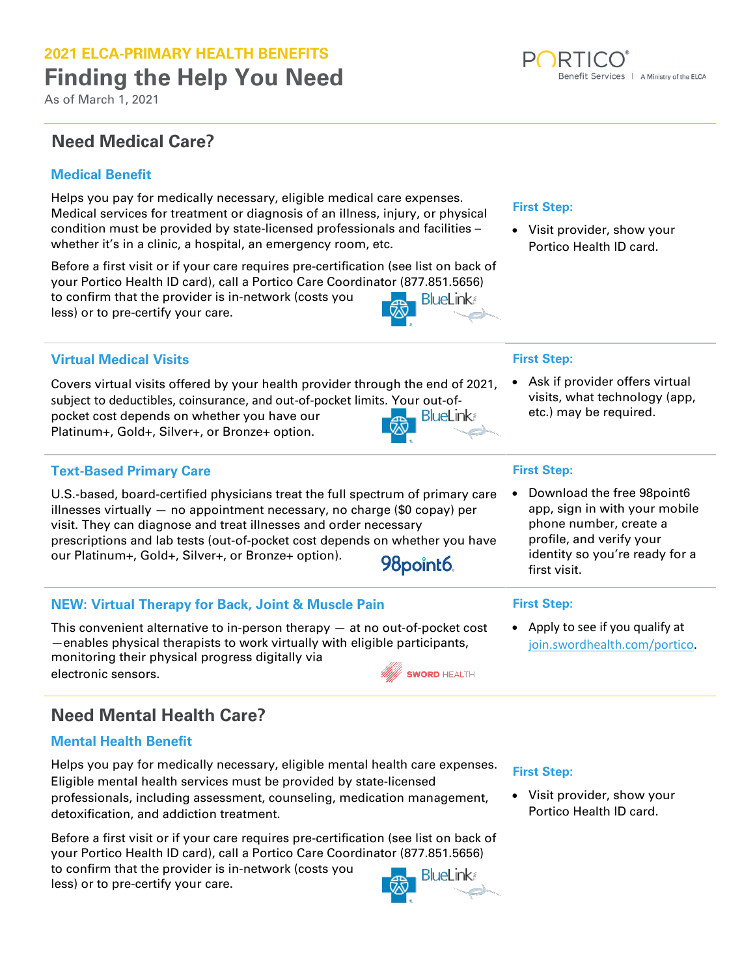As of March 1, 2021

# **Need Medical Care?**

#### **Medical Benefit**

Helps you pay for medically necessary, eligible medical care expenses. Medical services for treatment or diagnosis of an illness, injury, or physical condition must be provided by state-licensed professionals and facilities – whether it's in a clinic, a hospital, an emergency room, etc.

Before a first visit or if your care requires pre-certification (see list on back of your Portico Health ID card), call a Portico Care Coordinator (877.851.5656) to confirm that the provider is in-network (costs you **BlueLink** less) or to pre-certify your care.

### **First Step:**

• Visit provider, show your Portico Health ID card.

#### **Virtual Medical Visits**

Covers virtual visits offered by your health provider through the end of 2021, subject to deductibles, coinsurance, and out-of-pocket limits. Your out-of-

pocket cost depends on whether you have our Platinum+, Gold+, Silver+, or Bronze+ option.

#### **Text-Based Primary Care**

U.S.-based, board-certified physicians treat the full spectrum of primary care illnesses virtually — no appointment necessary, no charge (\$0 copay) per visit. They can diagnose and treat illnesses and order necessary prescriptions and lab tests (out-of-pocket cost depends on whether you have our Platinum+, Gold+, Silver+, or Bronze+ option). 98point6.

#### **NEW: Virtual Therapy for Back, Joint & Muscle Pain**

This convenient alternative to in-person therapy — at no out-of-pocket cost —enables physical therapists to work virtually with eligible participants, monitoring their physical progress digitally via electronic sensors. **SWORD HEALTH** 

# **Need Mental Health Care?**

#### **Mental Health Benefit**

Helps you pay for medically necessary, eligible mental health care expenses. Eligible mental health services must be provided by state-licensed professionals, including assessment, counseling, medication management, detoxification, and addiction treatment.

Before a first visit or if your care requires pre-certification (see list on back of your Portico Health ID card), call a Portico Care Coordinator (877.851.5656) to confirm that the provider is in-network (costs you less) or to pre-certify your care.

- **First Step:** • Visit provider, show your
- Portico Health ID card.

**First Step:**

• Ask if provider offers virtual visits, what technology (app, etc.) may be required.

#### **First Step:**

• Download the free 98point6 app, sign in with your mobile phone number, create a profile, and verify your identity so you're ready for a first visit.

#### **First Step:**

• Apply to see if you qualify at [join.swordhealth.com/portico.](https://join.swordhealth.com/portico/)



**BlueLink** 

# enefit Services | A Ministry of the ELCA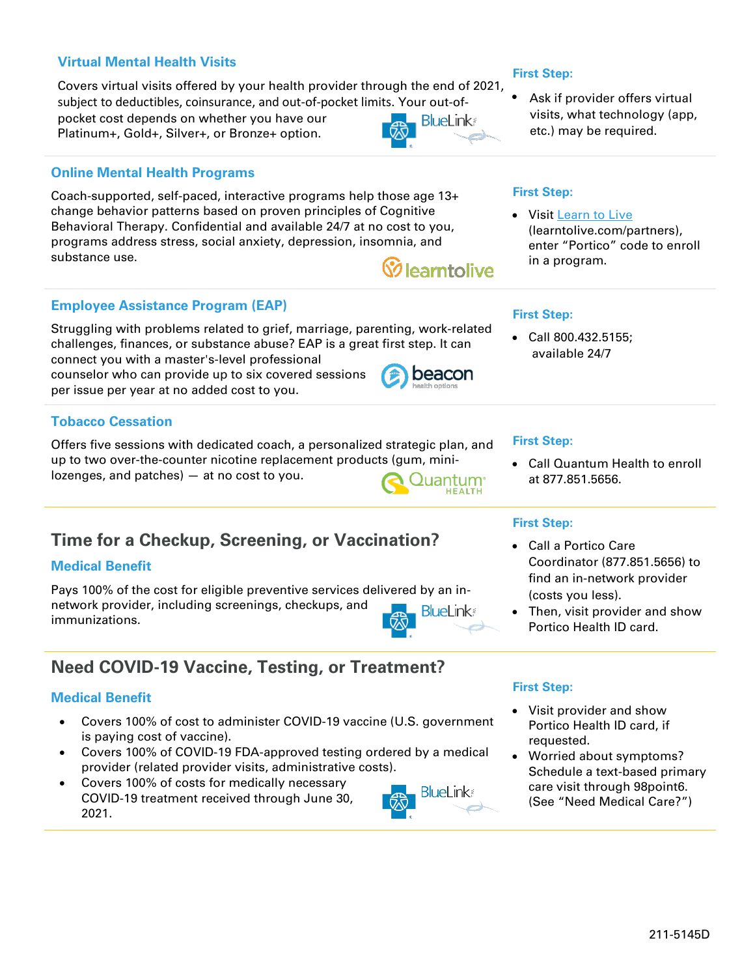#### **Virtual Mental Health Visits**

Covers virtual visits offered by your health provider through the end of 2021,

subject to deductibles, coinsurance, and out-of-pocket limits. Your out-ofpocket cost depends on whether you have our

Platinum+, Gold+, Silver+, or Bronze+ option.

#### **Online Mental Health Programs**

Coach-supported, self-paced, interactive programs help those age 13+ change behavior patterns based on proven principles of Cognitive Behavioral Therapy. Confidential and available 24/7 at no cost to you, programs address stress, social anxiety, depression, insomnia, and substance use. (V) learntolive

#### **Employee Assistance Program (EAP)**

Struggling with problems related to grief, marriage, parenting, work-related challenges, finances, or substance abuse? EAP is a great first step. It can connect you with a master's-level professional

counselor who can provide up to six covered sessions per issue per year at no added cost to you.

#### **Tobacco Cessation**

Offers five sessions with dedicated coach, a personalized strategic plan, and up to two over-the-counter nicotine replacement products (gum, minilozenges, and patches) — at no cost to you. 2uantum<sup>.</sup>

# **Time for a Checkup, Screening, or Vaccination?**

#### **Medical Benefit**

Pays 100% of the cost for eligible preventive services delivered by an innetwork provider, including screenings, checkups, and **BlueLink** immunizations.

# **Need COVID-19 Vaccine, Testing, or Treatment?**

#### **Medical Benefit**

- Covers 100% of cost to administer COVID-19 vaccine (U.S. government is paying cost of vaccine).
- Covers 100% of COVID-19 FDA-approved testing ordered by a medical provider (related provider visits, administrative costs).
- Covers 100% of costs for medically necessary COVID-19 treatment received through June 30, 2021.

#### **First Step:**

Ask if provider offers virtual visits, what technology (app, etc.) may be required.



beacon

**HEALTH** 

Bluel ink:

#### **First Step:**

• Visit [Learn to Live](http://www.learntolive.com/partners) (learntolive.com/partners), enter "Portico" code to enroll in a program.

#### **First Step:**

• Call 800.432.5155; available 24/7

#### **First Step:**

• Call Quantum Health to enroll at 877.851.5656.

#### **First Step:**

- Call a Portico Care Coordinator (877.851.5656) to find an in-network provider (costs you less).
- Then, visit provider and show Portico Health ID card.

#### **First Step:**

- Visit provider and show Portico Health ID card, if requested.
- Worried about symptoms? Schedule a text-based primary care visit through 98point6. (See "Need Medical Care?")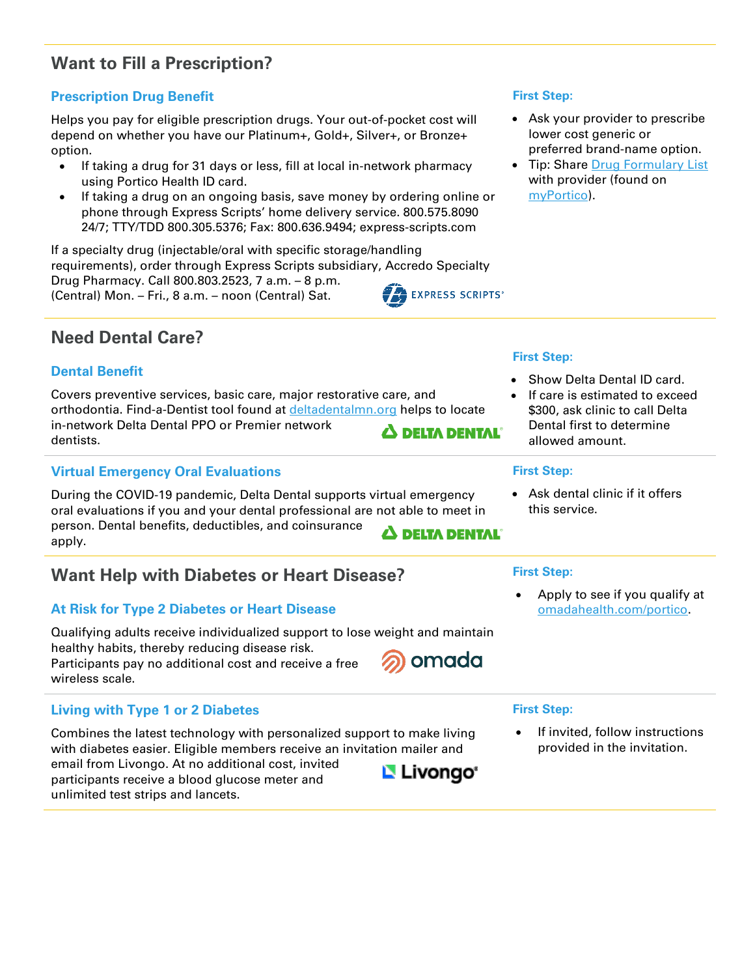# **Want to Fill a Prescription?**

#### **Prescription Drug Benefit**

Helps you pay for eligible prescription drugs. Your out-of-pocket cost will depend on whether you have our Platinum+, Gold+, Silver+, or Bronze+ option.

- If taking a drug for 31 days or less, fill at local in-network pharmacy using Portico Health ID card.
- If taking a drug on an ongoing basis, save money by ordering online or phone through Express Scripts' home delivery service. 800.575.8090 24/7; TTY/TDD 800.305.5376; Fax: 800.636.9494; express-scripts.com

If a specialty drug (injectable/oral with specific storage/handling requirements), order through Express Scripts subsidiary, Accredo Specialty Drug Pharmacy. Call 800.803.2523, 7 a.m. – 8 p.m. **EXPRESS SCRIPTS'** (Central) Mon. – Fri., 8 a.m. – noon (Central) Sat.

# **Need Dental Care?**

### **Dental Benefit**

Covers preventive services, basic care, major restorative care, and orthodontia. Find-a-Dentist tool found a[t deltadentalmn.org](http://www.deltadentalmn.org/) helps to locate in-network Delta Dental PPO or Premier network  $\Delta$  delta dental' dentists.

### **Virtual Emergency Oral Evaluations**

During the COVID-19 pandemic, Delta Dental supports virtual emergency oral evaluations if you and your dental professional are not able to meet in person. Dental benefits, deductibles, and coinsurance apply.

# **Want Help with Diabetes or Heart Disease?** First Step:

#### At Risk for Type 2 Diabetes or Heart Disease **by The Contract Contract At Risk for Type 2 Diabetes or Heart Disease**

Qualifying adults receive individualized support to lose weight and maintain healthy habits, thereby reducing disease risk. omada Participants pay no additional cost and receive a free wireless scale.

### **Living with Type 1 or 2 Diabetes**

Combines the latest technology with personalized support to make living with diabetes easier. Eligible members receive an invitation mailer and

email from Livongo. At no additional cost, invited participants receive a blood glucose meter and unlimited test strips and lancets.

#### **First Step:**

- Ask your provider to prescribe lower cost generic or preferred brand-name option.
- Tip: Share [Drug Formulary List](https://media.porticocloud.net/pdf/expressscripts/ExpressScriptsFormulary-2021.pdf) with provider (found on [myPortico\)](https://myportico.porticobenefits.org/benefits/prescription-drugs).

#### **First Step:**

- Show Delta Dental ID card.
- If care is estimated to exceed \$300, ask clinic to call Delta Dental first to determine allowed amount.

#### **First Step:**

• Ask dental clinic if it offers this service.

• Apply to see if you qualify at

**First Step:**

If invited, follow instructions provided in the invitation.



# **A DELTA DENTAL'**